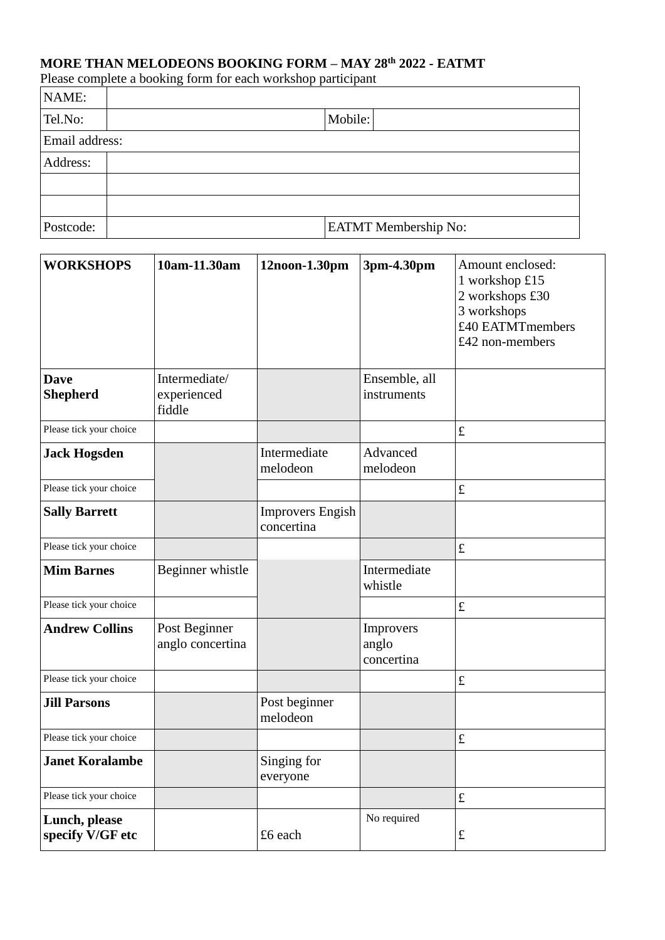## **MORE THAN MELODEONS BOOKING FORM – MAY 28th 2022 - EATMT**

Please complete a booking form for each workshop participant

| NAME:          |                             |  |  |  |  |  |
|----------------|-----------------------------|--|--|--|--|--|
| Tel.No:        | Mobile:                     |  |  |  |  |  |
| Email address: |                             |  |  |  |  |  |
| Address:       |                             |  |  |  |  |  |
|                |                             |  |  |  |  |  |
|                |                             |  |  |  |  |  |
| Postcode:      | <b>EATMT</b> Membership No: |  |  |  |  |  |

| <b>WORKSHOPS</b>                  | 10am-11.30am                           | 12noon-1.30pm                         | 3pm-4.30pm                       | Amount enclosed:<br>1 workshop £15<br>2 workshops £30<br>3 workshops<br>£40 EATMTmembers<br>£42 non-members |
|-----------------------------------|----------------------------------------|---------------------------------------|----------------------------------|-------------------------------------------------------------------------------------------------------------|
| <b>Dave</b><br><b>Shepherd</b>    | Intermediate/<br>experienced<br>fiddle |                                       | Ensemble, all<br>instruments     |                                                                                                             |
| Please tick your choice           |                                        |                                       |                                  | $\pounds$                                                                                                   |
| <b>Jack Hogsden</b>               |                                        | Intermediate<br>melodeon              | Advanced<br>melodeon             |                                                                                                             |
| Please tick your choice           |                                        |                                       |                                  | $\pounds$                                                                                                   |
| <b>Sally Barrett</b>              |                                        | <b>Improvers Engish</b><br>concertina |                                  |                                                                                                             |
| Please tick your choice           |                                        |                                       |                                  | $\pounds$                                                                                                   |
| <b>Mim Barnes</b>                 | Beginner whistle                       |                                       | Intermediate<br>whistle          |                                                                                                             |
| Please tick your choice           |                                        |                                       |                                  | $\pounds$                                                                                                   |
| <b>Andrew Collins</b>             | Post Beginner<br>anglo concertina      |                                       | Improvers<br>anglo<br>concertina |                                                                                                             |
| Please tick your choice           |                                        |                                       |                                  | $\pounds$                                                                                                   |
| <b>Jill Parsons</b>               |                                        | Post beginner<br>melodeon             |                                  |                                                                                                             |
| Please tick your choice           |                                        |                                       |                                  | $\pounds$                                                                                                   |
| <b>Janet Koralambe</b>            |                                        | Singing for<br>everyone               |                                  |                                                                                                             |
| Please tick your choice           |                                        |                                       |                                  | $\pounds$                                                                                                   |
| Lunch, please<br>specify V/GF etc |                                        | £6 each                               | No required                      | $\pounds$                                                                                                   |